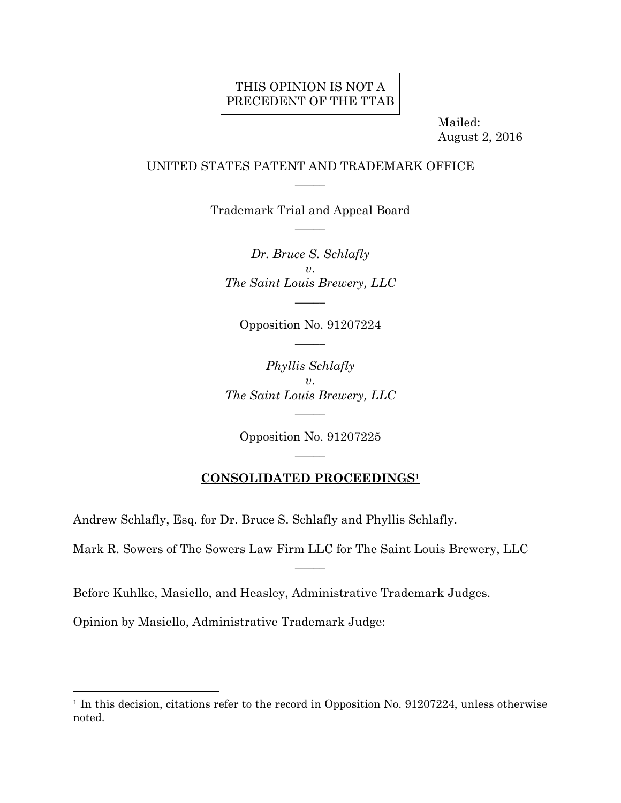## THIS OPINION IS NOT A PRECEDENT OF THE TTAB

 Mailed: August 2, 2016

### UNITED STATES PATENT AND TRADEMARK OFFICE  $\overline{\phantom{a}}$

Trademark Trial and Appeal Board  $\overline{\phantom{a}}$ 

*Dr. Bruce S. Schlafly v*. *The Saint Louis Brewery, LLC*   $\overline{\phantom{a}}$ 

Opposition No. 91207224  $\overline{\phantom{a}}$ 

*Phyllis Schlafly v*. *The Saint Louis Brewery, LLC* 

 $\overline{\phantom{a}}$ 

Opposition No. 91207225  $\overline{\phantom{a}}$ 

### **CONSOLIDATED PROCEEDINGS1**

Andrew Schlafly, Esq. for Dr. Bruce S. Schlafly and Phyllis Schlafly.

Mark R. Sowers of The Sowers Law Firm LLC for The Saint Louis Brewery, LLC

 $\overline{\phantom{a}}$ 

Before Kuhlke, Masiello, and Heasley, Administrative Trademark Judges.

Opinion by Masiello, Administrative Trademark Judge:

<sup>&</sup>lt;sup>1</sup> In this decision, citations refer to the record in Opposition No. 91207224, unless otherwise noted.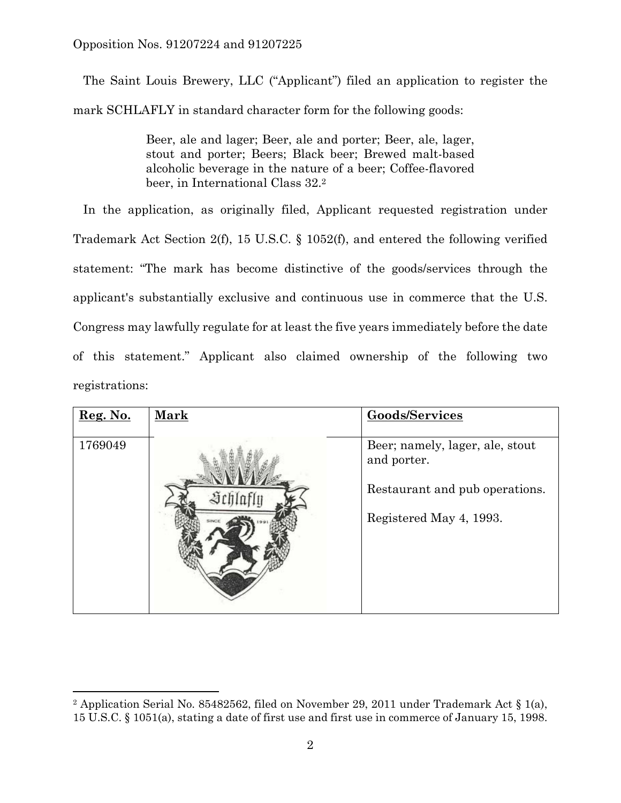The Saint Louis Brewery, LLC ("Applicant") filed an application to register the mark SCHLAFLY in standard character form for the following goods:

> Beer, ale and lager; Beer, ale and porter; Beer, ale, lager, stout and porter; Beers; Black beer; Brewed malt-based alcoholic beverage in the nature of a beer; Coffee-flavored beer, in International Class 32.2

 In the application, as originally filed, Applicant requested registration under Trademark Act Section 2(f), 15 U.S.C. § 1052(f), and entered the following verified statement: "The mark has become distinctive of the goods/services through the applicant's substantially exclusive and continuous use in commerce that the U.S. Congress may lawfully regulate for at least the five years immediately before the date of this statement." Applicant also claimed ownership of the following two registrations:

| Reg. No. | <b>Mark</b> | <b>Goods/Services</b>                          |
|----------|-------------|------------------------------------------------|
| 1769049  |             | Beer; namely, lager, ale, stout<br>and porter. |
|          |             | Restaurant and pub operations.                 |
|          |             | Registered May 4, 1993.                        |

<sup>&</sup>lt;sup>2</sup> Application Serial No. 85482562, filed on November 29, 2011 under Trademark Act  $\S$  1(a), 15 U.S.C. § 1051(a), stating a date of first use and first use in commerce of January 15, 1998.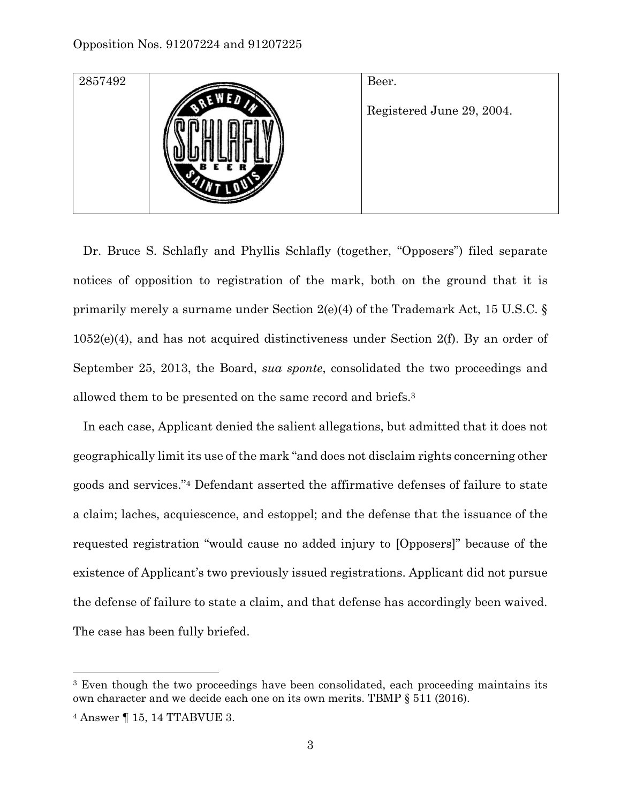

 Dr. Bruce S. Schlafly and Phyllis Schlafly (together, "Opposers") filed separate notices of opposition to registration of the mark, both on the ground that it is primarily merely a surname under Section 2(e)(4) of the Trademark Act, 15 U.S.C. § 1052(e)(4), and has not acquired distinctiveness under Section 2(f). By an order of September 25, 2013, the Board, *sua sponte*, consolidated the two proceedings and allowed them to be presented on the same record and briefs.3

 In each case, Applicant denied the salient allegations, but admitted that it does not geographically limit its use of the mark "and does not disclaim rights concerning other goods and services."4 Defendant asserted the affirmative defenses of failure to state a claim; laches, acquiescence, and estoppel; and the defense that the issuance of the requested registration "would cause no added injury to [Opposers]" because of the existence of Applicant's two previously issued registrations. Applicant did not pursue the defense of failure to state a claim, and that defense has accordingly been waived. The case has been fully briefed.

<sup>&</sup>lt;sup>3</sup> Even though the two proceedings have been consolidated, each proceeding maintains its own character and we decide each one on its own merits. TBMP § 511 (2016).

<sup>4</sup> Answer ¶ 15, 14 TTABVUE 3.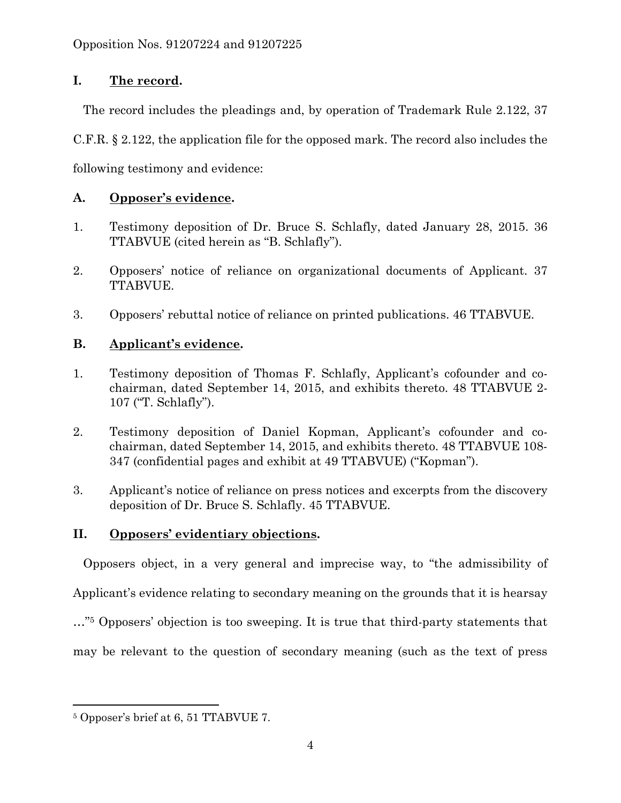# **I. The record.**

The record includes the pleadings and, by operation of Trademark Rule 2.122, 37

C.F.R. § 2.122, the application file for the opposed mark. The record also includes the

following testimony and evidence:

# **A. Opposer's evidence.**

- 1. Testimony deposition of Dr. Bruce S. Schlafly, dated January 28, 2015. 36 TTABVUE (cited herein as "B. Schlafly").
- 2. Opposers' notice of reliance on organizational documents of Applicant. 37 TTABVUE.
- 3. Opposers' rebuttal notice of reliance on printed publications. 46 TTABVUE.

# **B. Applicant's evidence.**

- 1. Testimony deposition of Thomas F. Schlafly, Applicant's cofounder and cochairman, dated September 14, 2015, and exhibits thereto. 48 TTABVUE 2- 107 ("T. Schlafly").
- 2. Testimony deposition of Daniel Kopman, Applicant's cofounder and cochairman, dated September 14, 2015, and exhibits thereto. 48 TTABVUE 108- 347 (confidential pages and exhibit at 49 TTABVUE) ("Kopman").
- 3. Applicant's notice of reliance on press notices and excerpts from the discovery deposition of Dr. Bruce S. Schlafly. 45 TTABVUE.

# **II. Opposers' evidentiary objections.**

Opposers object, in a very general and imprecise way, to "the admissibility of

Applicant's evidence relating to secondary meaning on the grounds that it is hearsay

…"5 Opposers' objection is too sweeping. It is true that third-party statements that

may be relevant to the question of secondary meaning (such as the text of press

1

<sup>5</sup> Opposer's brief at 6, 51 TTABVUE 7.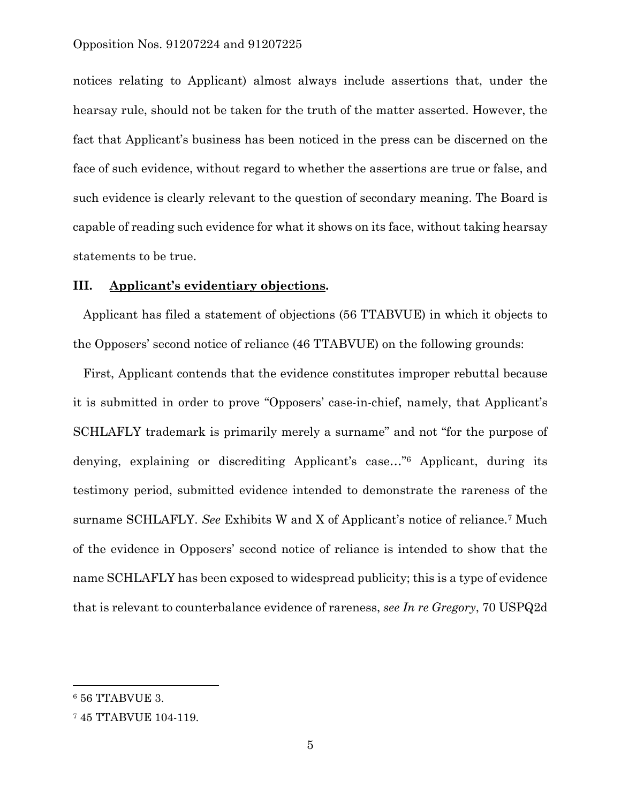notices relating to Applicant) almost always include assertions that, under the hearsay rule, should not be taken for the truth of the matter asserted. However, the fact that Applicant's business has been noticed in the press can be discerned on the face of such evidence, without regard to whether the assertions are true or false, and such evidence is clearly relevant to the question of secondary meaning. The Board is capable of reading such evidence for what it shows on its face, without taking hearsay statements to be true.

### **III. Applicant's evidentiary objections.**

 Applicant has filed a statement of objections (56 TTABVUE) in which it objects to the Opposers' second notice of reliance (46 TTABVUE) on the following grounds:

 First, Applicant contends that the evidence constitutes improper rebuttal because it is submitted in order to prove "Opposers' case-in-chief, namely, that Applicant's SCHLAFLY trademark is primarily merely a surname" and not "for the purpose of denying, explaining or discrediting Applicant's case…"6 Applicant, during its testimony period, submitted evidence intended to demonstrate the rareness of the surname SCHLAFLY. *See* Exhibits W and X of Applicant's notice of reliance.7 Much of the evidence in Opposers' second notice of reliance is intended to show that the name SCHLAFLY has been exposed to widespread publicity; this is a type of evidence that is relevant to counterbalance evidence of rareness, *see In re Gregory*, 70 USPQ2d

<sup>6 56</sup> TTABVUE 3.

<sup>7 45</sup> TTABVUE 104-119.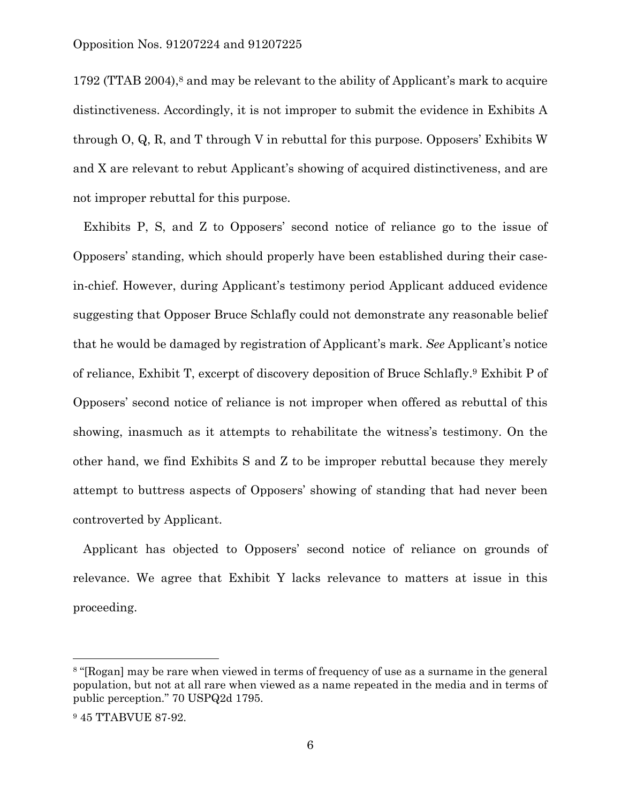1792 (TTAB 2004),8 and may be relevant to the ability of Applicant's mark to acquire distinctiveness. Accordingly, it is not improper to submit the evidence in Exhibits A through O, Q, R, and T through V in rebuttal for this purpose. Opposers' Exhibits W and X are relevant to rebut Applicant's showing of acquired distinctiveness, and are not improper rebuttal for this purpose.

 Exhibits P, S, and Z to Opposers' second notice of reliance go to the issue of Opposers' standing, which should properly have been established during their casein-chief. However, during Applicant's testimony period Applicant adduced evidence suggesting that Opposer Bruce Schlafly could not demonstrate any reasonable belief that he would be damaged by registration of Applicant's mark. *See* Applicant's notice of reliance, Exhibit T, excerpt of discovery deposition of Bruce Schlafly.9 Exhibit P of Opposers' second notice of reliance is not improper when offered as rebuttal of this showing, inasmuch as it attempts to rehabilitate the witness's testimony. On the other hand, we find Exhibits S and Z to be improper rebuttal because they merely attempt to buttress aspects of Opposers' showing of standing that had never been controverted by Applicant.

 Applicant has objected to Opposers' second notice of reliance on grounds of relevance. We agree that Exhibit Y lacks relevance to matters at issue in this proceeding.

<sup>8 &</sup>quot;[Rogan] may be rare when viewed in terms of frequency of use as a surname in the general population, but not at all rare when viewed as a name repeated in the media and in terms of public perception." 70 USPQ2d 1795.

<sup>9 45</sup> TTABVUE 87-92.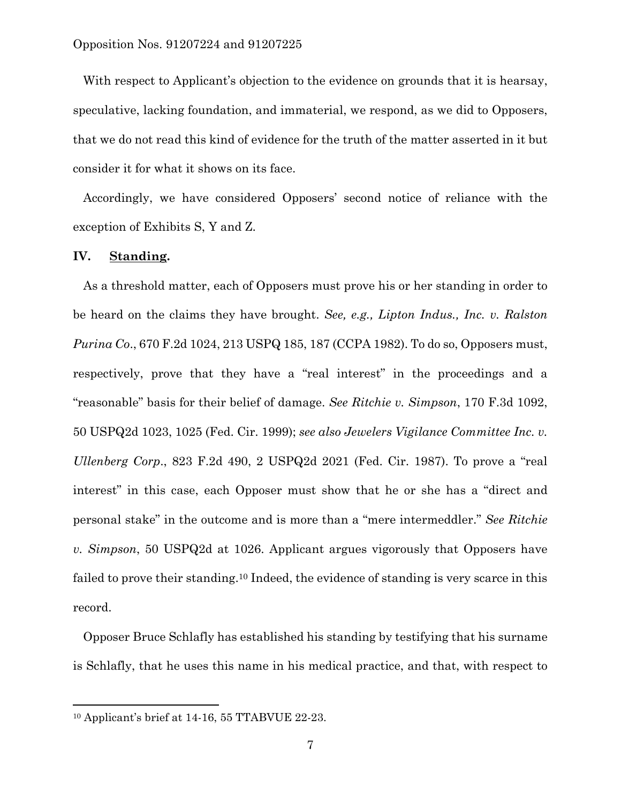With respect to Applicant's objection to the evidence on grounds that it is hearsay, speculative, lacking foundation, and immaterial, we respond, as we did to Opposers, that we do not read this kind of evidence for the truth of the matter asserted in it but consider it for what it shows on its face.

 Accordingly, we have considered Opposers' second notice of reliance with the exception of Exhibits S, Y and Z.

#### **IV. Standing.**

 As a threshold matter, each of Opposers must prove his or her standing in order to be heard on the claims they have brought. *See, e.g., Lipton Indus., Inc. v. Ralston Purina Co*., 670 F.2d 1024, 213 USPQ 185, 187 (CCPA 1982). To do so, Opposers must, respectively, prove that they have a "real interest" in the proceedings and a "reasonable" basis for their belief of damage. *See Ritchie v. Simpson*, 170 F.3d 1092, 50 USPQ2d 1023, 1025 (Fed. Cir. 1999); *see also Jewelers Vigilance Committee Inc. v. Ullenberg Corp*., 823 F.2d 490, 2 USPQ2d 2021 (Fed. Cir. 1987). To prove a "real interest" in this case, each Opposer must show that he or she has a "direct and personal stake" in the outcome and is more than a "mere intermeddler." *See Ritchie v. Simpson*, 50 USPQ2d at 1026. Applicant argues vigorously that Opposers have failed to prove their standing.10 Indeed, the evidence of standing is very scarce in this record.

 Opposer Bruce Schlafly has established his standing by testifying that his surname is Schlafly, that he uses this name in his medical practice, and that, with respect to

<sup>10</sup> Applicant's brief at 14-16, 55 TTABVUE 22-23.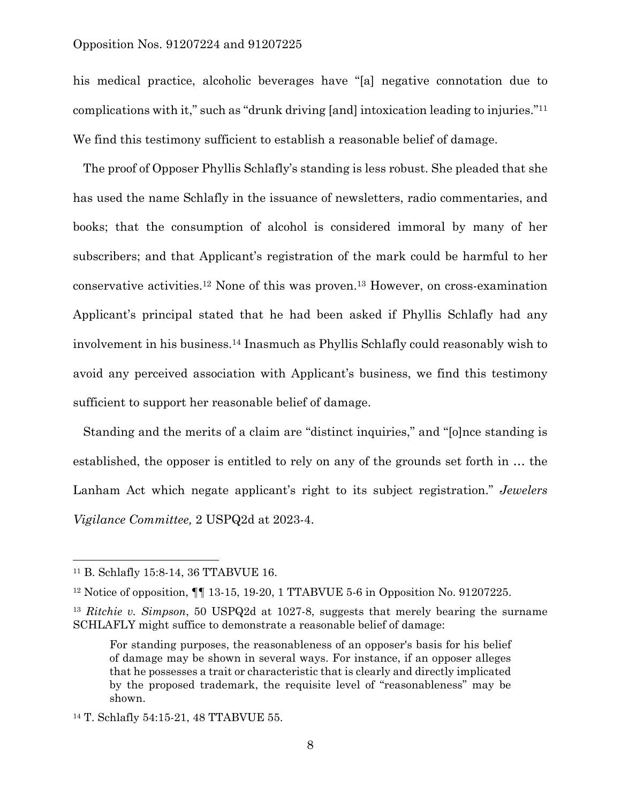his medical practice, alcoholic beverages have "[a] negative connotation due to complications with it," such as "drunk driving [and] intoxication leading to injuries."11 We find this testimony sufficient to establish a reasonable belief of damage.

 The proof of Opposer Phyllis Schlafly's standing is less robust. She pleaded that she has used the name Schlafly in the issuance of newsletters, radio commentaries, and books; that the consumption of alcohol is considered immoral by many of her subscribers; and that Applicant's registration of the mark could be harmful to her conservative activities.12 None of this was proven.13 However, on cross-examination Applicant's principal stated that he had been asked if Phyllis Schlafly had any involvement in his business.14 Inasmuch as Phyllis Schlafly could reasonably wish to avoid any perceived association with Applicant's business, we find this testimony sufficient to support her reasonable belief of damage.

 Standing and the merits of a claim are "distinct inquiries," and "[o]nce standing is established, the opposer is entitled to rely on any of the grounds set forth in … the Lanham Act which negate applicant's right to its subject registration." *Jewelers Vigilance Committee,* 2 USPQ2d at 2023-4.

<sup>11</sup> B. Schlafly 15:8-14, 36 TTABVUE 16.

<sup>12</sup> Notice of opposition, ¶¶ 13-15, 19-20, 1 TTABVUE 5-6 in Opposition No. 91207225.

<sup>13</sup> *Ritchie v. Simpson*, 50 USPQ2d at 1027-8, suggests that merely bearing the surname SCHLAFLY might suffice to demonstrate a reasonable belief of damage:

For standing purposes, the reasonableness of an opposer's basis for his belief of damage may be shown in several ways. For instance, if an opposer alleges that he possesses a trait or characteristic that is clearly and directly implicated by the proposed trademark, the requisite level of "reasonableness" may be shown.

<sup>14</sup> T. Schlafly 54:15-21, 48 TTABVUE 55.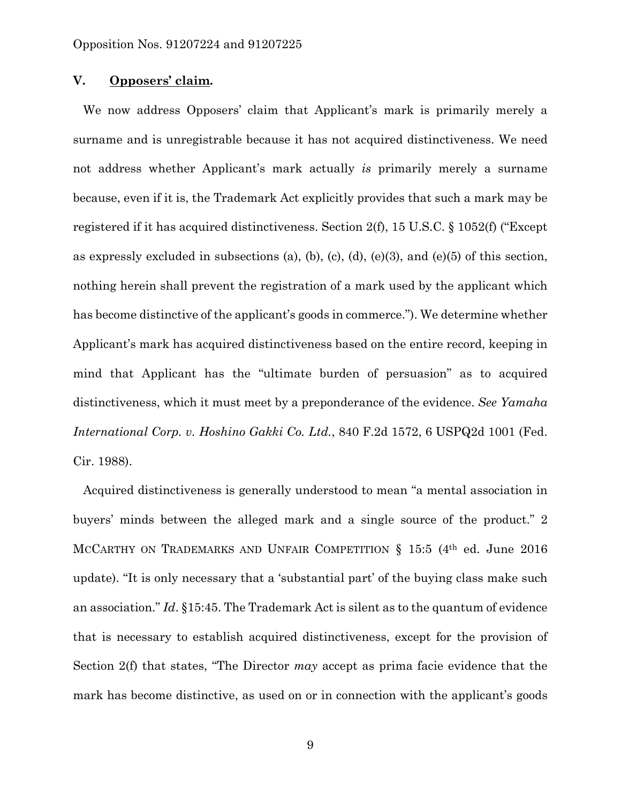#### **V. Opposers' claim.**

 We now address Opposers' claim that Applicant's mark is primarily merely a surname and is unregistrable because it has not acquired distinctiveness. We need not address whether Applicant's mark actually *is* primarily merely a surname because, even if it is, the Trademark Act explicitly provides that such a mark may be registered if it has acquired distinctiveness. Section 2(f), 15 U.S.C. § 1052(f) ("Except as expressly excluded in subsections (a), (b), (c), (d), (e)(3), and (e)(5) of this section, nothing herein shall prevent the registration of a mark used by the applicant which has become distinctive of the applicant's goods in commerce."). We determine whether Applicant's mark has acquired distinctiveness based on the entire record, keeping in mind that Applicant has the "ultimate burden of persuasion" as to acquired distinctiveness, which it must meet by a preponderance of the evidence. *See Yamaha International Corp. v. Hoshino Gakki Co. Ltd.*, 840 F.2d 1572, 6 USPQ2d 1001 (Fed. Cir. 1988).

 Acquired distinctiveness is generally understood to mean "a mental association in buyers' minds between the alleged mark and a single source of the product." 2 MCCARTHY ON TRADEMARKS AND UNFAIR COMPETITION § 15:5 (4<sup>th</sup> ed. June 2016) update). "It is only necessary that a 'substantial part' of the buying class make such an association." *Id*. §15:45. The Trademark Act is silent as to the quantum of evidence that is necessary to establish acquired distinctiveness, except for the provision of Section 2(f) that states, "The Director *may* accept as prima facie evidence that the mark has become distinctive, as used on or in connection with the applicant's goods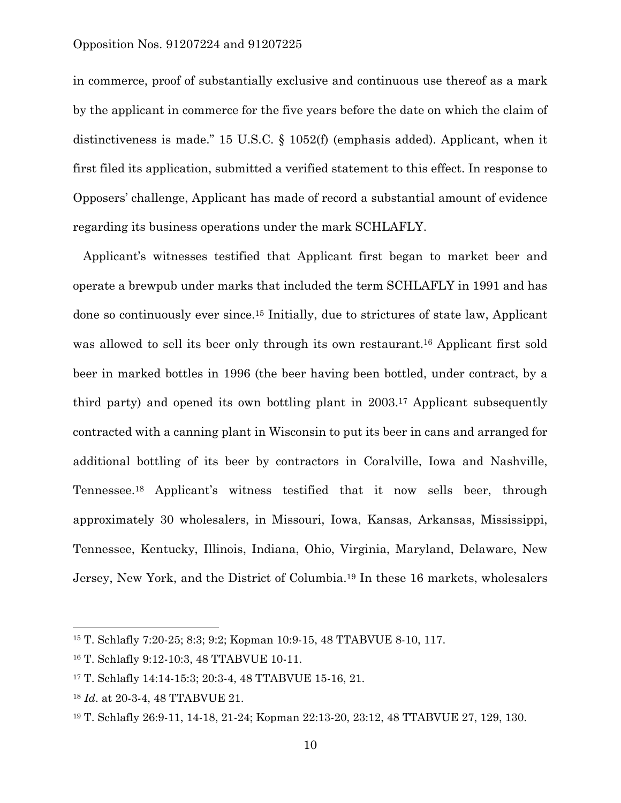in commerce, proof of substantially exclusive and continuous use thereof as a mark by the applicant in commerce for the five years before the date on which the claim of distinctiveness is made." 15 U.S.C. § 1052(f) (emphasis added). Applicant, when it first filed its application, submitted a verified statement to this effect. In response to Opposers' challenge, Applicant has made of record a substantial amount of evidence regarding its business operations under the mark SCHLAFLY.

 Applicant's witnesses testified that Applicant first began to market beer and operate a brewpub under marks that included the term SCHLAFLY in 1991 and has done so continuously ever since.15 Initially, due to strictures of state law, Applicant was allowed to sell its beer only through its own restaurant.16 Applicant first sold beer in marked bottles in 1996 (the beer having been bottled, under contract, by a third party) and opened its own bottling plant in 2003.17 Applicant subsequently contracted with a canning plant in Wisconsin to put its beer in cans and arranged for additional bottling of its beer by contractors in Coralville, Iowa and Nashville, Tennessee.18 Applicant's witness testified that it now sells beer, through approximately 30 wholesalers, in Missouri, Iowa, Kansas, Arkansas, Mississippi, Tennessee, Kentucky, Illinois, Indiana, Ohio, Virginia, Maryland, Delaware, New Jersey, New York, and the District of Columbia.19 In these 16 markets, wholesalers

1

<sup>15</sup> T. Schlafly 7:20-25; 8:3; 9:2; Kopman 10:9-15, 48 TTABVUE 8-10, 117.

<sup>16</sup> T. Schlafly 9:12-10:3, 48 TTABVUE 10-11.

<sup>17</sup> T. Schlafly 14:14-15:3; 20:3-4, 48 TTABVUE 15-16, 21.

<sup>18</sup> *Id*. at 20-3-4, 48 TTABVUE 21.

<sup>19</sup> T. Schlafly 26:9-11, 14-18, 21-24; Kopman 22:13-20, 23:12, 48 TTABVUE 27, 129, 130.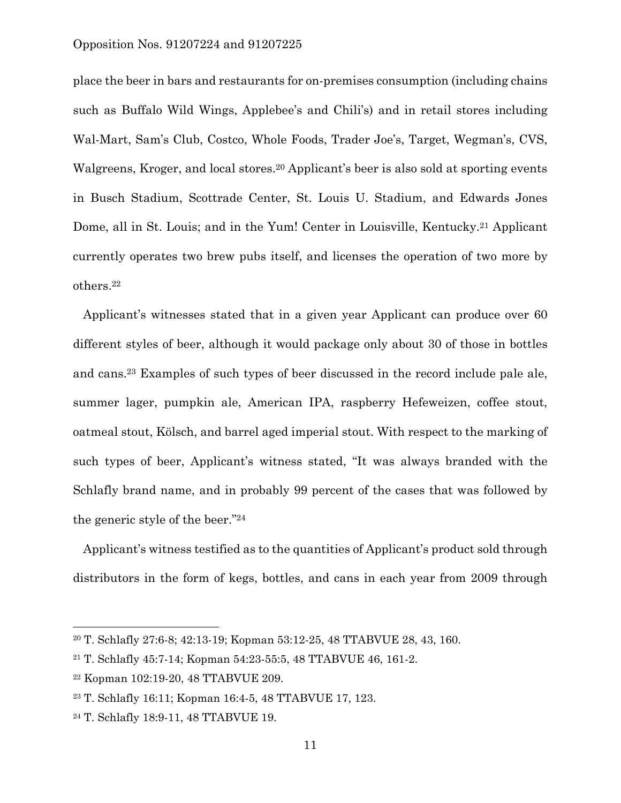place the beer in bars and restaurants for on-premises consumption (including chains such as Buffalo Wild Wings, Applebee's and Chili's) and in retail stores including Wal-Mart, Sam's Club, Costco, Whole Foods, Trader Joe's, Target, Wegman's, CVS, Walgreens, Kroger, and local stores.<sup>20</sup> Applicant's beer is also sold at sporting events in Busch Stadium, Scottrade Center, St. Louis U. Stadium, and Edwards Jones Dome, all in St. Louis; and in the Yum! Center in Louisville, Kentucky.<sup>21</sup> Applicant currently operates two brew pubs itself, and licenses the operation of two more by others.22

 Applicant's witnesses stated that in a given year Applicant can produce over 60 different styles of beer, although it would package only about 30 of those in bottles and cans.23 Examples of such types of beer discussed in the record include pale ale, summer lager, pumpkin ale, American IPA, raspberry Hefeweizen, coffee stout, oatmeal stout, Kölsch, and barrel aged imperial stout. With respect to the marking of such types of beer, Applicant's witness stated, "It was always branded with the Schlafly brand name, and in probably 99 percent of the cases that was followed by the generic style of the beer."24

 Applicant's witness testified as to the quantities of Applicant's product sold through distributors in the form of kegs, bottles, and cans in each year from 2009 through

<sup>20</sup> T. Schlafly 27:6-8; 42:13-19; Kopman 53:12-25, 48 TTABVUE 28, 43, 160.

<sup>21</sup> T. Schlafly 45:7-14; Kopman 54:23-55:5, 48 TTABVUE 46, 161-2.

<sup>22</sup> Kopman 102:19-20, 48 TTABVUE 209.

<sup>23</sup> T. Schlafly 16:11; Kopman 16:4-5, 48 TTABVUE 17, 123.

<sup>24</sup> T. Schlafly 18:9-11, 48 TTABVUE 19.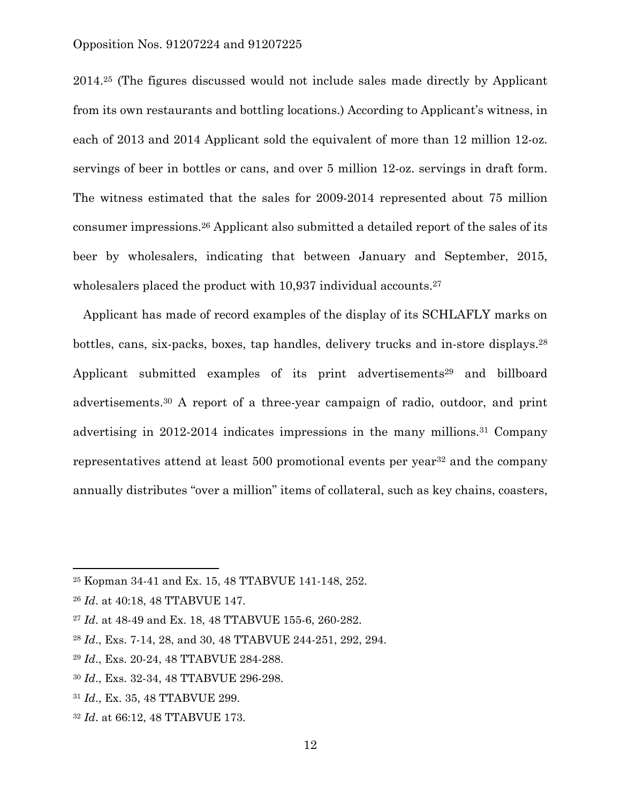2014.25 (The figures discussed would not include sales made directly by Applicant from its own restaurants and bottling locations.) According to Applicant's witness, in each of 2013 and 2014 Applicant sold the equivalent of more than 12 million 12-oz. servings of beer in bottles or cans, and over 5 million 12-oz. servings in draft form. The witness estimated that the sales for 2009-2014 represented about 75 million consumer impressions.26 Applicant also submitted a detailed report of the sales of its beer by wholesalers, indicating that between January and September, 2015, wholes alers placed the product with 10,937 individual accounts.<sup>27</sup>

 Applicant has made of record examples of the display of its SCHLAFLY marks on bottles, cans, six-packs, boxes, tap handles, delivery trucks and in-store displays.28 Applicant submitted examples of its print advertisements<sup>29</sup> and billboard advertisements.30 A report of a three-year campaign of radio, outdoor, and print advertising in 2012-2014 indicates impressions in the many millions.31 Company representatives attend at least 500 promotional events per year<sup>32</sup> and the company annually distributes "over a million" items of collateral, such as key chains, coasters,

<sup>25</sup> Kopman 34-41 and Ex. 15, 48 TTABVUE 141-148, 252.

<sup>26</sup> *Id*. at 40:18, 48 TTABVUE 147.

<sup>27</sup> *Id*. at 48-49 and Ex. 18, 48 TTABVUE 155-6, 260-282.

<sup>28</sup> *Id*., Exs. 7-14, 28, and 30, 48 TTABVUE 244-251, 292, 294.

<sup>29</sup> *Id*., Exs. 20-24, 48 TTABVUE 284-288.

<sup>30</sup> *Id*., Exs. 32-34, 48 TTABVUE 296-298.

<sup>31</sup> *Id*., Ex. 35, 48 TTABVUE 299.

<sup>32</sup> *Id*. at 66:12, 48 TTABVUE 173.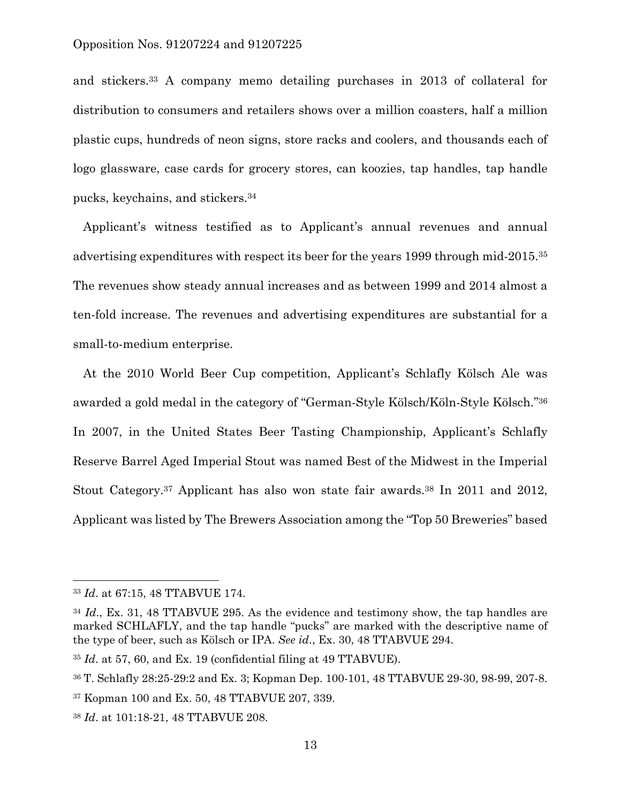and stickers.33 A company memo detailing purchases in 2013 of collateral for distribution to consumers and retailers shows over a million coasters, half a million plastic cups, hundreds of neon signs, store racks and coolers, and thousands each of logo glassware, case cards for grocery stores, can koozies, tap handles, tap handle pucks, keychains, and stickers.34

 Applicant's witness testified as to Applicant's annual revenues and annual advertising expenditures with respect its beer for the years 1999 through mid-2015.35 The revenues show steady annual increases and as between 1999 and 2014 almost a ten-fold increase. The revenues and advertising expenditures are substantial for a small-to-medium enterprise.

 At the 2010 World Beer Cup competition, Applicant's Schlafly Kölsch Ale was awarded a gold medal in the category of "German-Style Kölsch/Köln-Style Kölsch."36 In 2007, in the United States Beer Tasting Championship, Applicant's Schlafly Reserve Barrel Aged Imperial Stout was named Best of the Midwest in the Imperial Stout Category.37 Applicant has also won state fair awards.38 In 2011 and 2012, Applicant was listed by The Brewers Association among the "Top 50 Breweries" based

<sup>33</sup> *Id*. at 67:15, 48 TTABVUE 174.

<sup>34</sup> *Id*., Ex. 31, 48 TTABVUE 295. As the evidence and testimony show, the tap handles are marked SCHLAFLY, and the tap handle "pucks" are marked with the descriptive name of the type of beer, such as Kölsch or IPA. *See id*., Ex. 30, 48 TTABVUE 294.

<sup>35</sup> *Id*. at 57, 60, and Ex. 19 (confidential filing at 49 TTABVUE).

<sup>36</sup> T. Schlafly 28:25-29:2 and Ex. 3; Kopman Dep. 100-101, 48 TTABVUE 29-30, 98-99, 207-8.

<sup>37</sup> Kopman 100 and Ex. 50, 48 TTABVUE 207, 339.

<sup>38</sup> *Id*. at 101:18-21, 48 TTABVUE 208.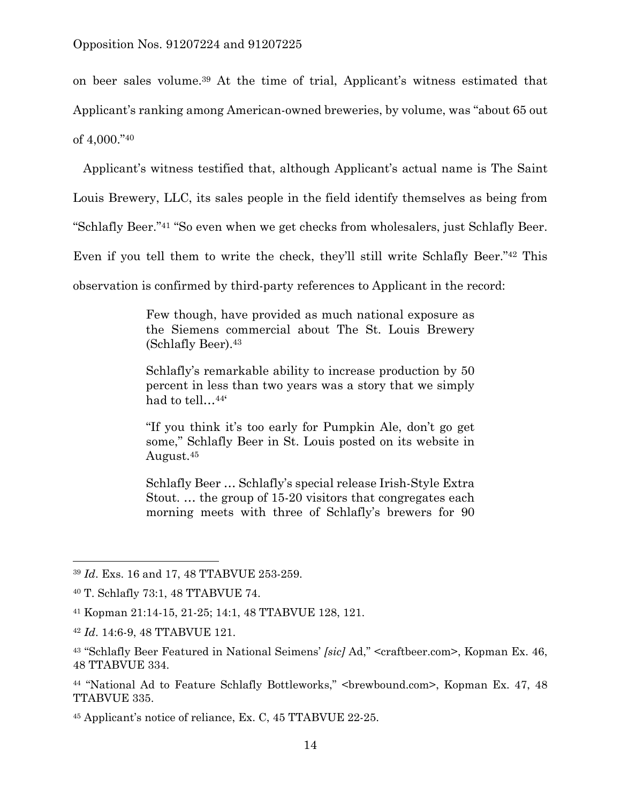on beer sales volume.39 At the time of trial, Applicant's witness estimated that Applicant's ranking among American-owned breweries, by volume, was "about 65 out of 4,000."40

 Applicant's witness testified that, although Applicant's actual name is The Saint Louis Brewery, LLC, its sales people in the field identify themselves as being from "Schlafly Beer."41 "So even when we get checks from wholesalers, just Schlafly Beer.

Even if you tell them to write the check, they'll still write Schlafly Beer."42 This

observation is confirmed by third-party references to Applicant in the record:

Few though, have provided as much national exposure as the Siemens commercial about The St. Louis Brewery (Schlafly Beer).43

Schlafly's remarkable ability to increase production by 50 percent in less than two years was a story that we simply had to tell…44'

"If you think it's too early for Pumpkin Ale, don't go get some," Schlafly Beer in St. Louis posted on its website in August.45

Schlafly Beer … Schlafly's special release Irish-Style Extra Stout. … the group of 15-20 visitors that congregates each morning meets with three of Schlafly's brewers for 90

<sup>39</sup> *Id*. Exs. 16 and 17, 48 TTABVUE 253-259.

<sup>40</sup> T. Schlafly 73:1, 48 TTABVUE 74.

<sup>41</sup> Kopman 21:14-15, 21-25; 14:1, 48 TTABVUE 128, 121.

<sup>42</sup> *Id*. 14:6-9, 48 TTABVUE 121.

<sup>43 &</sup>quot;Schlafly Beer Featured in National Seimens' *[sic]* Ad," <craftbeer.com>, Kopman Ex. 46, 48 TTABVUE 334.

<sup>&</sup>lt;sup>44</sup> "National Ad to Feature Schlafly Bottleworks," <br/>brewbound.com>, Kopman Ex. 47, 48 TTABVUE 335.

<sup>45</sup> Applicant's notice of reliance, Ex. C, 45 TTABVUE 22-25.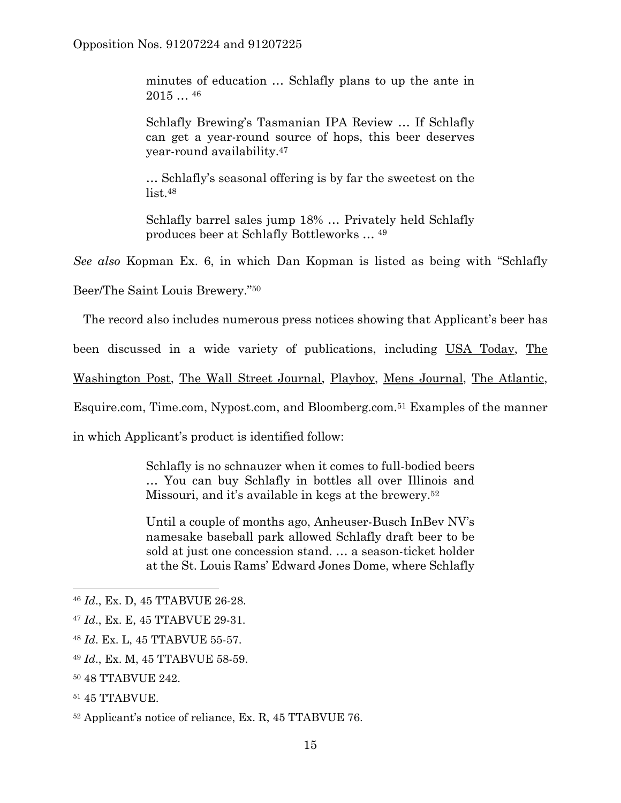minutes of education … Schlafly plans to up the ante in  $2015...$ <sup>46</sup>

Schlafly Brewing's Tasmanian IPA Review … If Schlafly can get a year-round source of hops, this beer deserves year-round availability.47

… Schlafly's seasonal offering is by far the sweetest on the list.48

Schlafly barrel sales jump 18% … Privately held Schlafly produces beer at Schlafly Bottleworks … 49

*See also* Kopman Ex. 6, in which Dan Kopman is listed as being with "Schlafly

Beer/The Saint Louis Brewery."50

The record also includes numerous press notices showing that Applicant's beer has

been discussed in a wide variety of publications, including USA Today, The

Washington Post, The Wall Street Journal, Playboy, Mens Journal, The Atlantic,

Esquire.com, Time.com, Nypost.com, and Bloomberg.com.51 Examples of the manner

in which Applicant's product is identified follow:

Schlafly is no schnauzer when it comes to full-bodied beers … You can buy Schlafly in bottles all over Illinois and Missouri, and it's available in kegs at the brewery.52

Until a couple of months ago, Anheuser-Busch InBev NV's namesake baseball park allowed Schlafly draft beer to be sold at just one concession stand. … a season-ticket holder at the St. Louis Rams' Edward Jones Dome, where Schlafly

- <sup>48</sup> *Id*. Ex. L, 45 TTABVUE 55-57.
- <sup>49</sup> *Id*., Ex. M, 45 TTABVUE 58-59.
- 50 48 TTABVUE 242.
- 51 45 TTABVUE.

<sup>46</sup> *Id*., Ex. D, 45 TTABVUE 26-28.

<sup>47</sup> *Id*., Ex. E, 45 TTABVUE 29-31.

<sup>52</sup> Applicant's notice of reliance, Ex. R, 45 TTABVUE 76.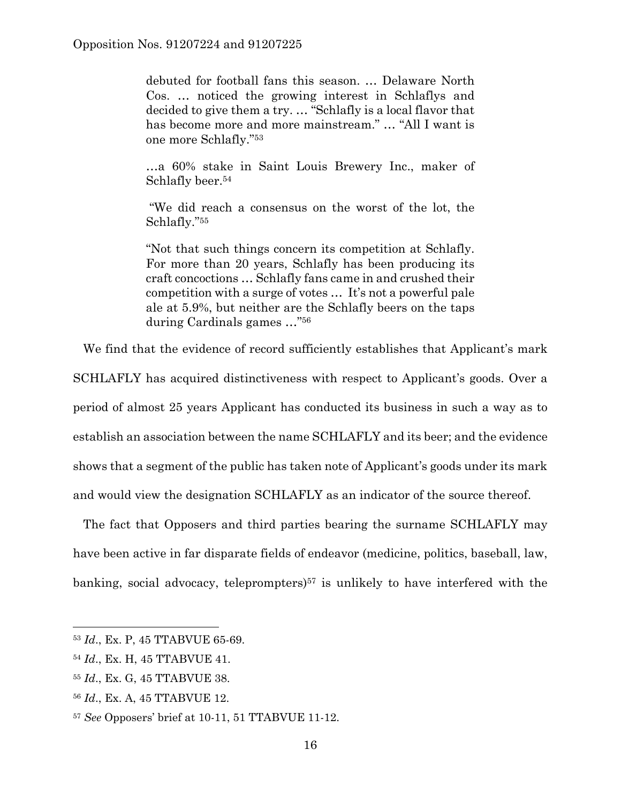debuted for football fans this season. … Delaware North Cos. … noticed the growing interest in Schlaflys and decided to give them a try. … "Schlafly is a local flavor that has become more and more mainstream." … "All I want is one more Schlafly."53

…a 60% stake in Saint Louis Brewery Inc., maker of Schlafly beer.<sup>54</sup>

 "We did reach a consensus on the worst of the lot, the Schlafly."55

"Not that such things concern its competition at Schlafly. For more than 20 years, Schlafly has been producing its craft concoctions … Schlafly fans came in and crushed their competition with a surge of votes … It's not a powerful pale ale at 5.9%, but neither are the Schlafly beers on the taps during Cardinals games …"56

We find that the evidence of record sufficiently establishes that Applicant's mark

SCHLAFLY has acquired distinctiveness with respect to Applicant's goods. Over a period of almost 25 years Applicant has conducted its business in such a way as to establish an association between the name SCHLAFLY and its beer; and the evidence shows that a segment of the public has taken note of Applicant's goods under its mark and would view the designation SCHLAFLY as an indicator of the source thereof.

 The fact that Opposers and third parties bearing the surname SCHLAFLY may have been active in far disparate fields of endeavor (medicine, politics, baseball, law, banking, social advocacy, teleprompters)<sup>57</sup> is unlikely to have interfered with the

<sup>53</sup> *Id*., Ex. P, 45 TTABVUE 65-69.

<sup>54</sup> *Id*., Ex. H, 45 TTABVUE 41.

<sup>55</sup> *Id*., Ex. G, 45 TTABVUE 38.

<sup>56</sup> *Id*., Ex. A, 45 TTABVUE 12.

<sup>57</sup> *See* Opposers' brief at 10-11, 51 TTABVUE 11-12.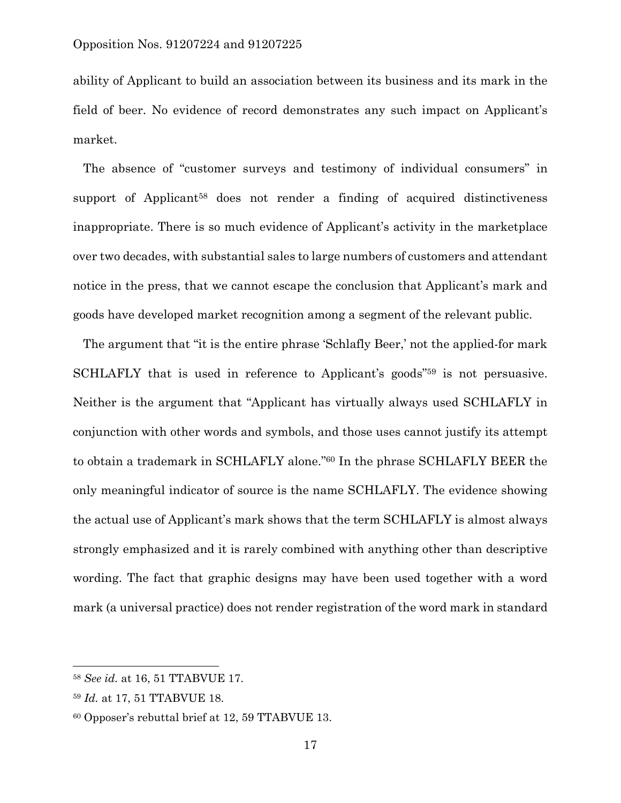ability of Applicant to build an association between its business and its mark in the field of beer. No evidence of record demonstrates any such impact on Applicant's market.

 The absence of "customer surveys and testimony of individual consumers" in support of Applicant<sup>58</sup> does not render a finding of acquired distinctiveness inappropriate. There is so much evidence of Applicant's activity in the marketplace over two decades, with substantial sales to large numbers of customers and attendant notice in the press, that we cannot escape the conclusion that Applicant's mark and goods have developed market recognition among a segment of the relevant public.

 The argument that "it is the entire phrase 'Schlafly Beer,' not the applied-for mark SCHLAFLY that is used in reference to Applicant's goods"59 is not persuasive. Neither is the argument that "Applicant has virtually always used SCHLAFLY in conjunction with other words and symbols, and those uses cannot justify its attempt to obtain a trademark in SCHLAFLY alone."60 In the phrase SCHLAFLY BEER the only meaningful indicator of source is the name SCHLAFLY. The evidence showing the actual use of Applicant's mark shows that the term SCHLAFLY is almost always strongly emphasized and it is rarely combined with anything other than descriptive wording. The fact that graphic designs may have been used together with a word mark (a universal practice) does not render registration of the word mark in standard

l

<sup>58</sup> *See id.* at 16, 51 TTABVUE 17.

<sup>59</sup> *Id.* at 17, 51 TTABVUE 18.

<sup>60</sup> Opposer's rebuttal brief at 12, 59 TTABVUE 13.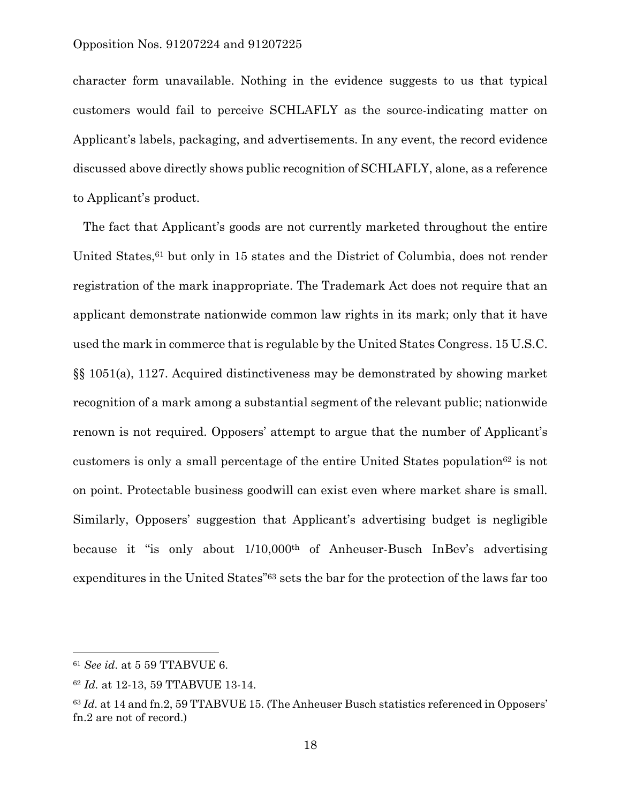character form unavailable. Nothing in the evidence suggests to us that typical customers would fail to perceive SCHLAFLY as the source-indicating matter on Applicant's labels, packaging, and advertisements. In any event, the record evidence discussed above directly shows public recognition of SCHLAFLY, alone, as a reference to Applicant's product.

 The fact that Applicant's goods are not currently marketed throughout the entire United States, <sup>61</sup> but only in 15 states and the District of Columbia, does not render registration of the mark inappropriate. The Trademark Act does not require that an applicant demonstrate nationwide common law rights in its mark; only that it have used the mark in commerce that is regulable by the United States Congress. 15 U.S.C. §§ 1051(a), 1127. Acquired distinctiveness may be demonstrated by showing market recognition of a mark among a substantial segment of the relevant public; nationwide renown is not required. Opposers' attempt to argue that the number of Applicant's customers is only a small percentage of the entire United States population<sup>62</sup> is not on point. Protectable business goodwill can exist even where market share is small. Similarly, Opposers' suggestion that Applicant's advertising budget is negligible because it "is only about 1/10,000th of Anheuser-Busch InBev's advertising expenditures in the United States"63 sets the bar for the protection of the laws far too

<sup>61</sup> *See id*. at 5 59 TTABVUE 6.

<sup>62</sup> *Id.* at 12-13, 59 TTABVUE 13-14.

<sup>63</sup> *Id.* at 14 and fn.2, 59 TTABVUE 15. (The Anheuser Busch statistics referenced in Opposers' fn.2 are not of record.)